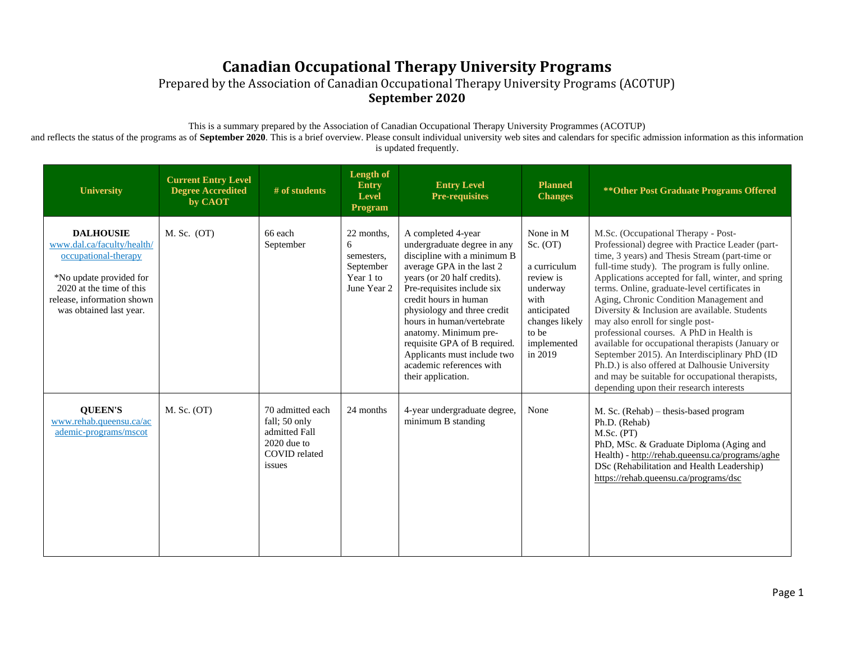Prepared by the Association of Canadian Occupational Therapy University Programs (ACOTUP) **September 2020**

This is a summary prepared by the Association of Canadian Occupational Therapy University Programmes (ACOTUP)

and reflects the status of the programs as of **September 2020**. This is a brief overview. Please consult individual university web sites and calendars for specific admission information as this information is updated frequently.

| <b>University</b>                                                                                                                                                                      | <b>Current Entry Level</b><br><b>Degree Accredited</b><br>by CAOT | # of students                                                                                  | <b>Length of</b><br><b>Entry</b><br>Level<br>Program                   | <b>Entry Level</b><br><b>Pre-requisites</b>                                                                                                                                                                                                                                                                                                                                                               | <b>Planned</b><br><b>Changes</b>                                                                                                           | ** Other Post Graduate Programs Offered                                                                                                                                                                                                                                                                                                                                                                                                                                                                                                                                                                                                                                                                                               |
|----------------------------------------------------------------------------------------------------------------------------------------------------------------------------------------|-------------------------------------------------------------------|------------------------------------------------------------------------------------------------|------------------------------------------------------------------------|-----------------------------------------------------------------------------------------------------------------------------------------------------------------------------------------------------------------------------------------------------------------------------------------------------------------------------------------------------------------------------------------------------------|--------------------------------------------------------------------------------------------------------------------------------------------|---------------------------------------------------------------------------------------------------------------------------------------------------------------------------------------------------------------------------------------------------------------------------------------------------------------------------------------------------------------------------------------------------------------------------------------------------------------------------------------------------------------------------------------------------------------------------------------------------------------------------------------------------------------------------------------------------------------------------------------|
| <b>DALHOUSIE</b><br>www.dal.ca/faculty/health/<br>occupational-therapy<br>*No update provided for<br>2020 at the time of this<br>release, information shown<br>was obtained last year. | $M.$ Sc. $(OT)$                                                   | 66 each<br>September                                                                           | 22 months,<br>6<br>semesters,<br>September<br>Year 1 to<br>June Year 2 | A completed 4-year<br>undergraduate degree in any<br>discipline with a minimum B<br>average GPA in the last 2<br>years (or 20 half credits).<br>Pre-requisites include six<br>credit hours in human<br>physiology and three credit<br>hours in human/vertebrate<br>anatomy. Minimum pre-<br>requisite GPA of B required.<br>Applicants must include two<br>academic references with<br>their application. | None in M<br>Sc. (OT)<br>a curriculum<br>review is<br>underway<br>with<br>anticipated<br>changes likely<br>to be<br>implemented<br>in 2019 | M.Sc. (Occupational Therapy - Post-<br>Professional) degree with Practice Leader (part-<br>time, 3 years) and Thesis Stream (part-time or<br>full-time study). The program is fully online.<br>Applications accepted for fall, winter, and spring<br>terms. Online, graduate-level certificates in<br>Aging, Chronic Condition Management and<br>Diversity & Inclusion are available. Students<br>may also enroll for single post-<br>professional courses. A PhD in Health is<br>available for occupational therapists (January or<br>September 2015). An Interdisciplinary PhD (ID<br>Ph.D.) is also offered at Dalhousie University<br>and may be suitable for occupational therapists,<br>depending upon their research interests |
| <b>QUEEN'S</b><br>www.rehab.queensu.ca/ac<br>ademic-programs/mscot                                                                                                                     | $M.$ Sc. $(OT)$                                                   | 70 admitted each<br>fall; 50 only<br>admitted Fall<br>$2020$ due to<br>COVID related<br>issues | 24 months                                                              | 4-year undergraduate degree,<br>minimum B standing                                                                                                                                                                                                                                                                                                                                                        | None                                                                                                                                       | M. Sc. (Rehab) – thesis-based program<br>Ph.D. (Rehab)<br>M.Sc. (PT)<br>PhD, MSc. & Graduate Diploma (Aging and<br>Health) - http://rehab.queensu.ca/programs/aghe<br>DSc (Rehabilitation and Health Leadership)<br>https://rehab.queensu.ca/programs/dsc                                                                                                                                                                                                                                                                                                                                                                                                                                                                             |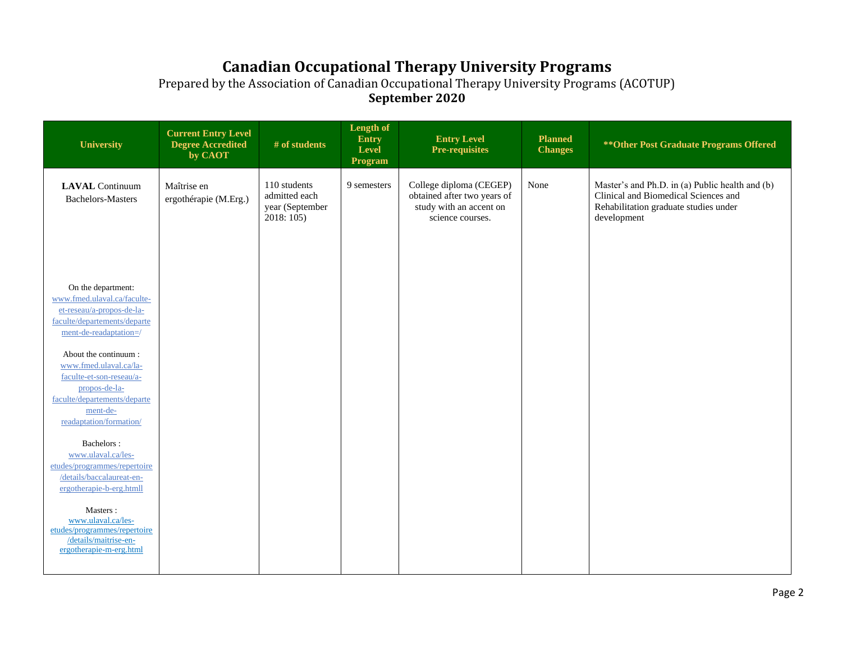| University                                                                                                                                                         | <b>Current Entry Level</b><br><b>Degree Accredited</b><br>by CAOT | # of students                                                  | Length of<br><b>Entry</b><br><b>Level</b><br>Program | <b>Entry Level</b><br><b>Pre-requisites</b>                                                           | <b>Planned</b><br><b>Changes</b> | ** Other Post Graduate Programs Offered                                                                                                         |
|--------------------------------------------------------------------------------------------------------------------------------------------------------------------|-------------------------------------------------------------------|----------------------------------------------------------------|------------------------------------------------------|-------------------------------------------------------------------------------------------------------|----------------------------------|-------------------------------------------------------------------------------------------------------------------------------------------------|
| <b>LAVAL</b> Continuum<br><b>Bachelors-Masters</b>                                                                                                                 | Maîtrise en<br>ergothérapie (M.Erg.)                              | 110 students<br>admitted each<br>year (September<br>2018: 105) | 9 semesters                                          | College diploma (CEGEP)<br>obtained after two years of<br>study with an accent on<br>science courses. | None                             | Master's and Ph.D. in (a) Public health and (b)<br>Clinical and Biomedical Sciences and<br>Rehabilitation graduate studies under<br>development |
| On the department:<br>www.fmed.ulaval.ca/faculte-<br>et-reseau/a-propos-de-la-<br>faculte/departements/departe<br>ment-de-readaptation=/                           |                                                                   |                                                                |                                                      |                                                                                                       |                                  |                                                                                                                                                 |
| About the continuum:<br>www.fmed.ulaval.ca/la-<br>faculte-et-son-reseau/a-<br>propos-de-la-<br>faculte/departements/departe<br>ment-de-<br>readaptation/formation/ |                                                                   |                                                                |                                                      |                                                                                                       |                                  |                                                                                                                                                 |
| Bachelors:<br>www.ulaval.ca/les-<br>etudes/programmes/repertoire<br>/details/baccalaureat-en-<br>ergotherapie-b-erg.htmll                                          |                                                                   |                                                                |                                                      |                                                                                                       |                                  |                                                                                                                                                 |
| Masters:<br>www.ulaval.ca/les-<br>etudes/programmes/repertoire<br>/details/maitrise-en-<br>ergotherapie-m-erg.html                                                 |                                                                   |                                                                |                                                      |                                                                                                       |                                  |                                                                                                                                                 |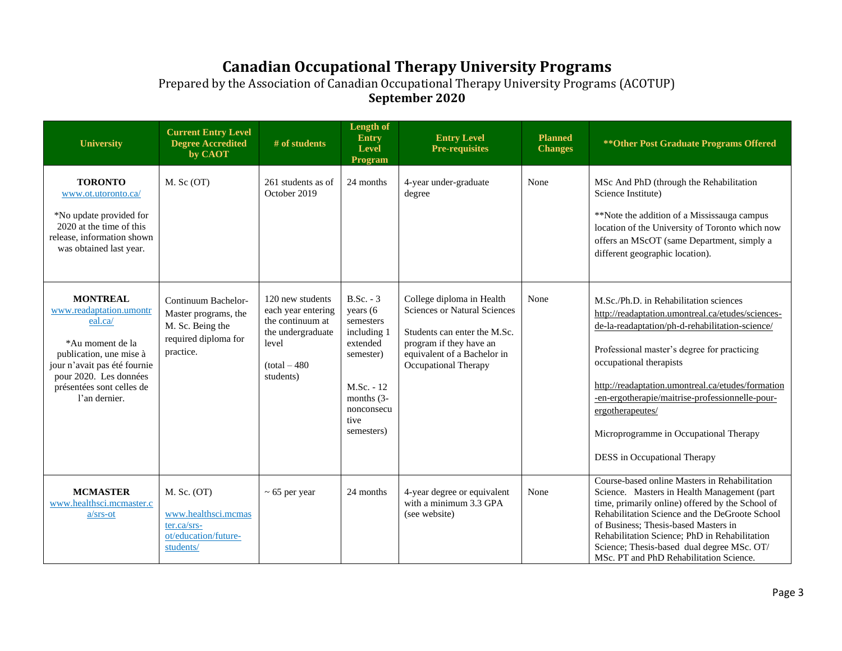| <b>University</b>                                                                                                                                                                                            | <b>Current Entry Level</b><br><b>Degree Accredited</b><br>by CAOT                                    | # of students                                                                                                          | Length of<br><b>Entry</b><br><b>Level</b><br><b>Program</b>                                                                                      | <b>Entry Level</b><br><b>Pre-requisites</b>                                                                                                                                        | <b>Planned</b><br><b>Changes</b> | ** Other Post Graduate Programs Offered                                                                                                                                                                                                                                                                                                                                                                                        |
|--------------------------------------------------------------------------------------------------------------------------------------------------------------------------------------------------------------|------------------------------------------------------------------------------------------------------|------------------------------------------------------------------------------------------------------------------------|--------------------------------------------------------------------------------------------------------------------------------------------------|------------------------------------------------------------------------------------------------------------------------------------------------------------------------------------|----------------------------------|--------------------------------------------------------------------------------------------------------------------------------------------------------------------------------------------------------------------------------------------------------------------------------------------------------------------------------------------------------------------------------------------------------------------------------|
| <b>TORONTO</b><br>www.ot.utoronto.ca/<br>*No update provided for<br>2020 at the time of this<br>release, information shown<br>was obtained last year.                                                        | $M.$ Sc $(OT)$                                                                                       | 261 students as of<br>October 2019                                                                                     | 24 months                                                                                                                                        | 4-year under-graduate<br>degree                                                                                                                                                    | None                             | MSc And PhD (through the Rehabilitation<br>Science Institute)<br>**Note the addition of a Mississauga campus<br>location of the University of Toronto which now<br>offers an MScOT (same Department, simply a<br>different geographic location).                                                                                                                                                                               |
| <b>MONTREAL</b><br>www.readaptation.umontr<br>eal.ca/<br>*Au moment de la<br>publication, une mise à<br>jour n'avait pas été fournie<br>pour 2020. Les données<br>présentées sont celles de<br>l'an dernier. | Continuum Bachelor-<br>Master programs, the<br>M. Sc. Being the<br>required diploma for<br>practice. | 120 new students<br>each year entering<br>the continuum at<br>the undergraduate<br>level<br>$total - 480$<br>students) | $B.Sc. - 3$<br>years (6<br>semesters<br>including 1<br>extended<br>semester)<br>$M.Sc. - 12$<br>months $(3-$<br>nonconsecu<br>tive<br>semesters) | College diploma in Health<br><b>Sciences or Natural Sciences</b><br>Students can enter the M.Sc.<br>program if they have an<br>equivalent of a Bachelor in<br>Occupational Therapy | None                             | M.Sc./Ph.D. in Rehabilitation sciences<br>http://readaptation.umontreal.ca/etudes/sciences-<br>de-la-readaptation/ph-d-rehabilitation-science/<br>Professional master's degree for practicing<br>occupational therapists<br>http://readaptation.umontreal.ca/etudes/formation<br>-en-ergotherapie/maitrise-professionnelle-pour-<br>ergotherapeutes/<br>Microprogramme in Occupational Therapy<br>DESS in Occupational Therapy |
| <b>MCMASTER</b><br>www.healthsci.mcmaster.c<br>$a/srs-ot$                                                                                                                                                    | M. Sc. (OT)<br>www.healthsci.mcmas<br>ter.ca/srs-<br>ot/education/future-<br>students/               | $\sim$ 65 per year                                                                                                     | 24 months                                                                                                                                        | 4-year degree or equivalent<br>with a minimum 3.3 GPA<br>(see website)                                                                                                             | None                             | Course-based online Masters in Rehabilitation<br>Science. Masters in Health Management (part<br>time, primarily online) offered by the School of<br>Rehabilitation Science and the DeGroote School<br>of Business; Thesis-based Masters in<br>Rehabilitation Science; PhD in Rehabilitation<br>Science; Thesis-based dual degree MSc. OT/<br>MSc. PT and PhD Rehabilitation Science.                                           |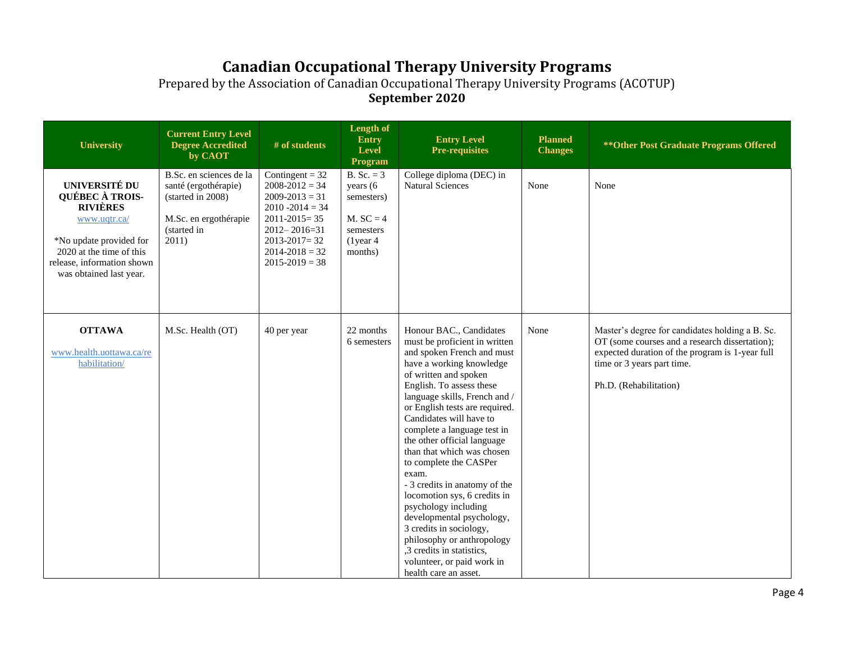| University                                                                                                                                                                                        | <b>Current Entry Level</b><br><b>Degree Accredited</b><br>by CAOT                                                     | # of students                                                                                                                                                                                     | Length of<br><b>Entry</b><br><b>Level</b><br>Program                                                 | <b>Entry Level</b><br><b>Pre-requisites</b>                                                                                                                                                                                                                                                                                                                                                                                                                                                                                                                                                                                                                             | <b>Planned</b><br><b>Changes</b> | ** Other Post Graduate Programs Offered                                                                                                                                                                      |
|---------------------------------------------------------------------------------------------------------------------------------------------------------------------------------------------------|-----------------------------------------------------------------------------------------------------------------------|---------------------------------------------------------------------------------------------------------------------------------------------------------------------------------------------------|------------------------------------------------------------------------------------------------------|-------------------------------------------------------------------------------------------------------------------------------------------------------------------------------------------------------------------------------------------------------------------------------------------------------------------------------------------------------------------------------------------------------------------------------------------------------------------------------------------------------------------------------------------------------------------------------------------------------------------------------------------------------------------------|----------------------------------|--------------------------------------------------------------------------------------------------------------------------------------------------------------------------------------------------------------|
| <b>UNIVERSITÉ DU</b><br><b>QUÉBEC À TROIS-</b><br><b>RIVIÈRES</b><br>www.uqtr.ca/<br>*No update provided for<br>2020 at the time of this<br>release, information shown<br>was obtained last year. | B.Sc. en sciences de la<br>santé (ergothérapie)<br>(started in 2008)<br>M.Sc. en ergothérapie<br>(started in<br>2011) | Contingent = $32$<br>$2008 - 2012 = 34$<br>$2009 - 2013 = 31$<br>$2010 - 2014 = 34$<br>$2011 - 2015 = 35$<br>$2012 - 2016 = 31$<br>$2013 - 2017 = 32$<br>$2014 - 2018 = 32$<br>$2015 - 2019 = 38$ | <b>B.</b> Sc. = $3$<br>years (6<br>semesters)<br>$M. SC = 4$<br>semesters<br>$(1)$ year 4<br>months) | College diploma (DEC) in<br><b>Natural Sciences</b>                                                                                                                                                                                                                                                                                                                                                                                                                                                                                                                                                                                                                     | None                             | None                                                                                                                                                                                                         |
| <b>OTTAWA</b><br>www.health.uottawa.ca/re<br>habilitation/                                                                                                                                        | M.Sc. Health (OT)                                                                                                     | 40 per year                                                                                                                                                                                       | 22 months<br>6 semesters                                                                             | Honour BAC., Candidates<br>must be proficient in written<br>and spoken French and must<br>have a working knowledge<br>of written and spoken<br>English. To assess these<br>language skills, French and /<br>or English tests are required.<br>Candidates will have to<br>complete a language test in<br>the other official language<br>than that which was chosen<br>to complete the CASPer<br>exam.<br>- 3 credits in anatomy of the<br>locomotion sys, 6 credits in<br>psychology including<br>developmental psychology,<br>3 credits in sociology,<br>philosophy or anthropology<br>,3 credits in statistics,<br>volunteer, or paid work in<br>health care an asset. | None                             | Master's degree for candidates holding a B. Sc.<br>OT (some courses and a research dissertation);<br>expected duration of the program is 1-year full<br>time or 3 years part time.<br>Ph.D. (Rehabilitation) |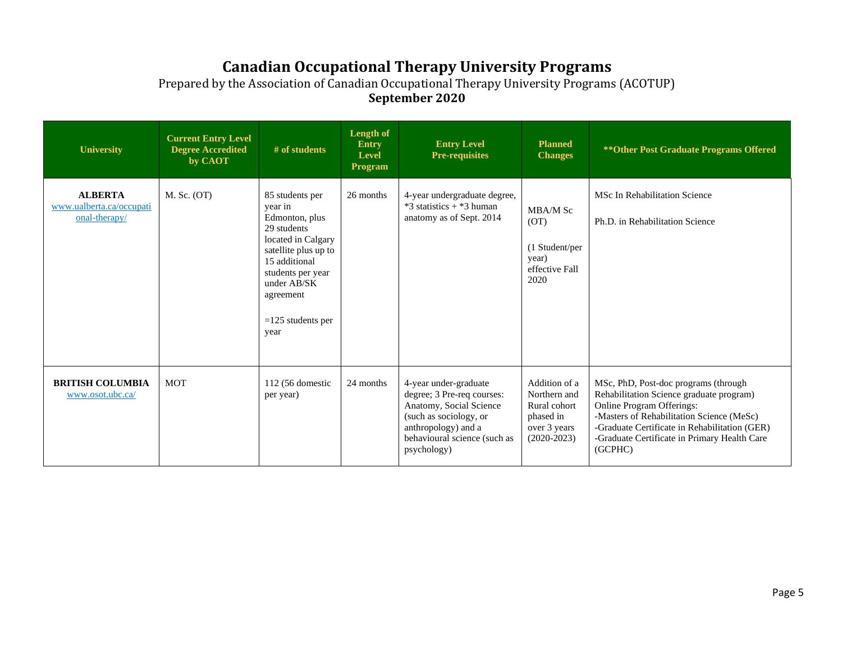| <b>University</b>                                             | <b>Current Entry Level</b><br><b>Degree Accredited</b><br>by CAOT | $#$ of students                                                                                                                                                                                            | Length of<br><b>Entry</b><br><b>Level</b><br>Program | <b>Entry Level</b><br><b>Pre-requisites</b>                                                                                                                                    | <b>Planned</b><br><b>Changes</b>                                                            | ** Other Post Graduate Programs Offered                                                                                                                                                                                                                                |
|---------------------------------------------------------------|-------------------------------------------------------------------|------------------------------------------------------------------------------------------------------------------------------------------------------------------------------------------------------------|------------------------------------------------------|--------------------------------------------------------------------------------------------------------------------------------------------------------------------------------|---------------------------------------------------------------------------------------------|------------------------------------------------------------------------------------------------------------------------------------------------------------------------------------------------------------------------------------------------------------------------|
| <b>ALBERTA</b><br>www.ualberta.ca/occupati<br>$onal-therapy/$ | M. Sc. (OT)                                                       | 85 students per<br>vear in<br>Edmonton, plus<br>29 students<br>located in Calgary<br>satellite plus up to<br>15 additional<br>students per year<br>under AB/SK<br>agreement<br>$=125$ students per<br>year | 26 months                                            | 4-year undergraduate degree,<br>$*3$ statistics + $*3$ human<br>anatomy as of Sept. 2014                                                                                       | MBA/M Sc<br>(OT)<br>(1 Student/per<br>year)<br>effective Fall<br>2020                       | MSc In Rehabilitation Science<br>Ph.D. in Rehabilitation Science                                                                                                                                                                                                       |
| <b>BRITISH COLUMBIA</b><br>www.osot.ubc.ca/                   | <b>MOT</b>                                                        | 112 (56 domestic<br>per year)                                                                                                                                                                              | 24 months                                            | 4-year under-graduate<br>degree; 3 Pre-req courses:<br>Anatomy, Social Science<br>(such as sociology, or<br>anthropology) and a<br>behavioural science (such as<br>psychology) | Addition of a<br>Northern and<br>Rural cohort<br>phased in<br>over 3 years<br>$(2020-2023)$ | MSc, PhD, Post-doc programs (through<br>Rehabilitation Science graduate program)<br>Online Program Offerings:<br>-Masters of Rehabilitation Science (MeSc)<br>-Graduate Certificate in Rehabilitation (GER)<br>-Graduate Certificate in Primary Health Care<br>(GCPHC) |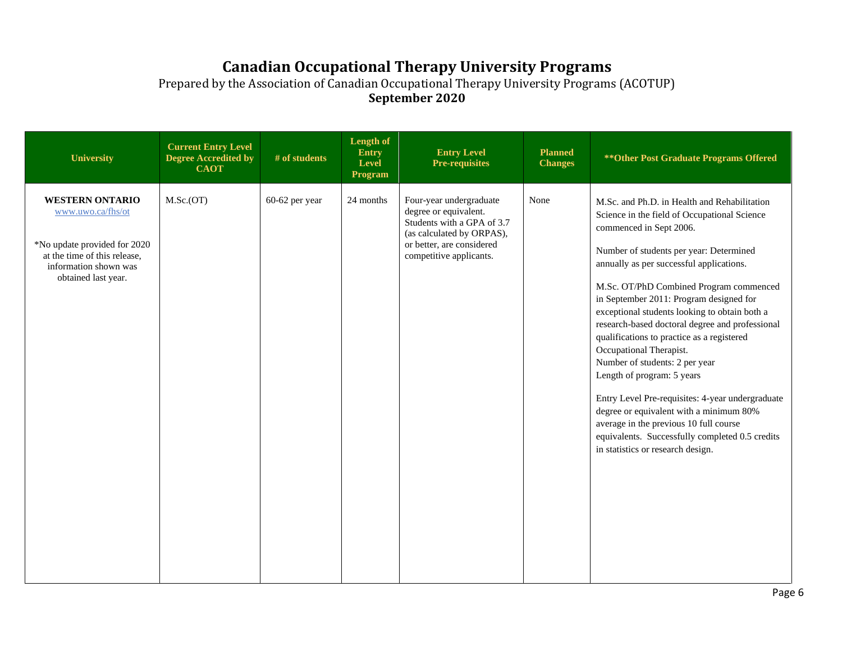| University                                                                                                                                                  | <b>Current Entry Level</b><br><b>Degree Accredited by</b><br><b>CAOT</b> | # of students  | Length of<br>Entry<br>Level<br>Program | <b>Entry Level</b><br><b>Pre-requisites</b>                                                                                                                         | <b>Planned</b><br><b>Changes</b> | ** Other Post Graduate Programs Offered                                                                                                                                                                                                                                                                                                                                                                                                                                                                                                                                                                                                                                                                                                                                            |
|-------------------------------------------------------------------------------------------------------------------------------------------------------------|--------------------------------------------------------------------------|----------------|----------------------------------------|---------------------------------------------------------------------------------------------------------------------------------------------------------------------|----------------------------------|------------------------------------------------------------------------------------------------------------------------------------------------------------------------------------------------------------------------------------------------------------------------------------------------------------------------------------------------------------------------------------------------------------------------------------------------------------------------------------------------------------------------------------------------------------------------------------------------------------------------------------------------------------------------------------------------------------------------------------------------------------------------------------|
| <b>WESTERN ONTARIO</b><br>www.uwo.ca/fhs/ot<br>*No update provided for 2020<br>at the time of this release,<br>information shown was<br>obtained last year. | M.Sc.(OT)                                                                | 60-62 per year | 24 months                              | Four-year undergraduate<br>degree or equivalent.<br>Students with a GPA of 3.7<br>(as calculated by ORPAS),<br>or better, are considered<br>competitive applicants. | None                             | M.Sc. and Ph.D. in Health and Rehabilitation<br>Science in the field of Occupational Science<br>commenced in Sept 2006.<br>Number of students per year: Determined<br>annually as per successful applications.<br>M.Sc. OT/PhD Combined Program commenced<br>in September 2011: Program designed for<br>exceptional students looking to obtain both a<br>research-based doctoral degree and professional<br>qualifications to practice as a registered<br>Occupational Therapist.<br>Number of students: 2 per year<br>Length of program: 5 years<br>Entry Level Pre-requisites: 4-year undergraduate<br>degree or equivalent with a minimum 80%<br>average in the previous 10 full course<br>equivalents. Successfully completed 0.5 credits<br>in statistics or research design. |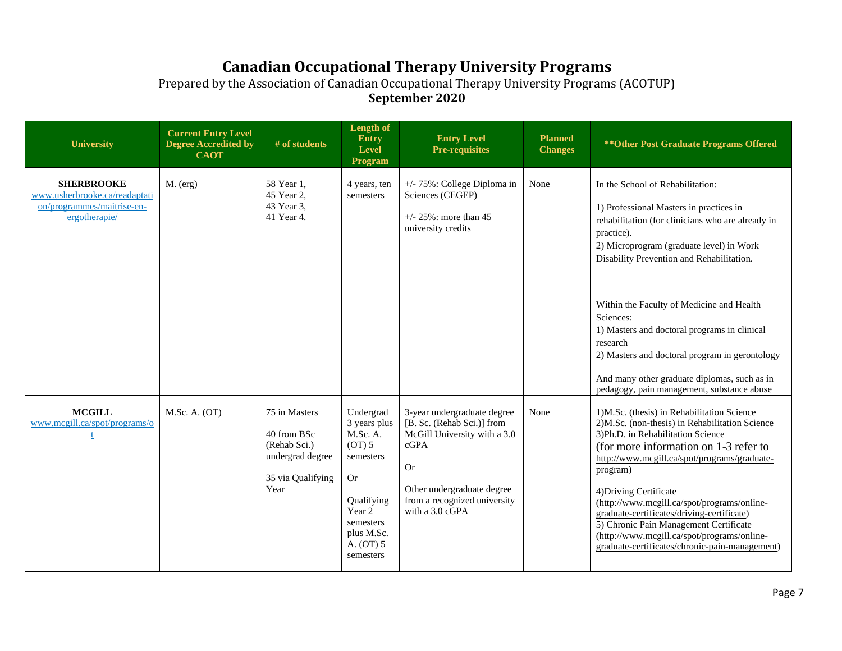| University                                                                                        | <b>Current Entry Level</b><br><b>Degree Accredited by</b><br><b>CAOT</b> | # of students                                                                                 | Length of<br>Entry<br>Level<br>Program                                                                                                                 | <b>Entry Level</b><br><b>Pre-requisites</b>                                                                                                                                                     | <b>Planned</b><br><b>Changes</b> | ** Other Post Graduate Programs Offered                                                                                                                                                                                                                                                                                                                                                                                                                                                                    |
|---------------------------------------------------------------------------------------------------|--------------------------------------------------------------------------|-----------------------------------------------------------------------------------------------|--------------------------------------------------------------------------------------------------------------------------------------------------------|-------------------------------------------------------------------------------------------------------------------------------------------------------------------------------------------------|----------------------------------|------------------------------------------------------------------------------------------------------------------------------------------------------------------------------------------------------------------------------------------------------------------------------------------------------------------------------------------------------------------------------------------------------------------------------------------------------------------------------------------------------------|
| <b>SHERBROOKE</b><br>www.usherbrooke.ca/readaptati<br>on/programmes/maitrise-en-<br>ergotherapie/ | $M.$ (erg)                                                               | 58 Year 1.<br>45 Year 2,<br>43 Year 3,<br>41 Year 4.                                          | 4 years, ten<br>semesters                                                                                                                              | +/- 75%: College Diploma in<br>Sciences (CEGEP)<br>$+/- 25\%$ : more than 45<br>university credits                                                                                              | None                             | In the School of Rehabilitation:<br>1) Professional Masters in practices in<br>rehabilitation (for clinicians who are already in<br>practice).<br>2) Microprogram (graduate level) in Work<br>Disability Prevention and Rehabilitation.                                                                                                                                                                                                                                                                    |
|                                                                                                   |                                                                          |                                                                                               |                                                                                                                                                        |                                                                                                                                                                                                 |                                  | Within the Faculty of Medicine and Health<br>Sciences:<br>1) Masters and doctoral programs in clinical<br>$\,$ research $\,$<br>2) Masters and doctoral program in gerontology<br>And many other graduate diplomas, such as in<br>pedagogy, pain management, substance abuse                                                                                                                                                                                                                               |
| <b>MCGILL</b><br>www.mcgill.ca/spot/programs/o                                                    | M.Sc. A. (OT)                                                            | 75 in Masters<br>40 from BSc<br>(Rehab Sci.)<br>undergrad degree<br>35 via Qualifying<br>Year | Undergrad<br>3 years plus<br>M.Sc. A.<br>(OT) 5<br>semesters<br><b>Or</b><br>Qualifying<br>Year 2<br>semesters<br>plus M.Sc.<br>A. (OT) 5<br>semesters | 3-year undergraduate degree<br>[B. Sc. (Rehab Sci.)] from<br>McGill University with a 3.0<br>cGPA<br><b>Or</b><br>Other undergraduate degree<br>from a recognized university<br>with a 3.0 cGPA | None                             | 1)M.Sc. (thesis) in Rehabilitation Science<br>2) M.Sc. (non-thesis) in Rehabilitation Science<br>3) Ph.D. in Rehabilitation Science<br>(for more information on 1-3 refer to<br>http://www.mcgill.ca/spot/programs/graduate-<br>program)<br>4) Driving Certificate<br>(http://www.mcgill.ca/spot/programs/online-<br>graduate-certificates/driving-certificate)<br>5) Chronic Pain Management Certificate<br>(http://www.mcgill.ca/spot/programs/online-<br>graduate-certificates/chronic-pain-management) |